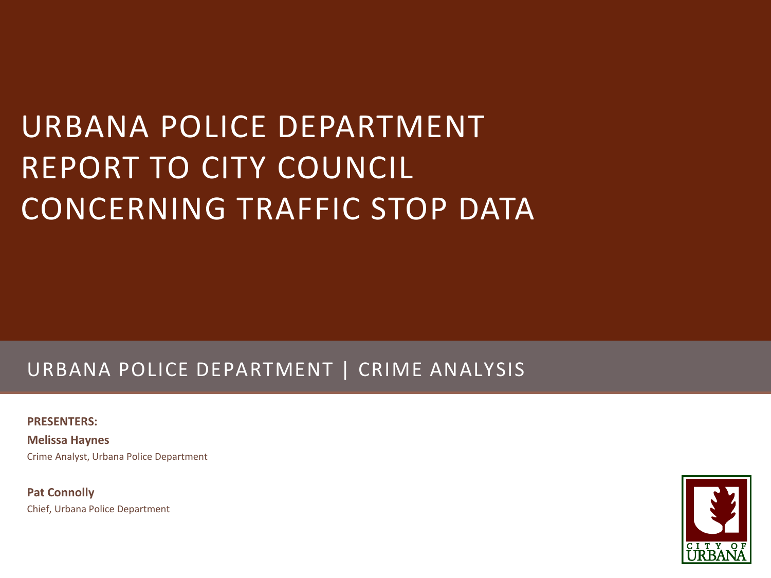# URBANA POLICE DEPARTMENT REPORT TO CITY COUNCIL CONCERNING TRAFFIC STOP DATA

### URBANA POLICE DEPARTMENT | CRIME ANALYSIS

**PRESENTERS:** 

**Melissa Haynes** Crime Analyst, Urbana Police Department

**Pat Connolly** Chief, Urbana Police Department

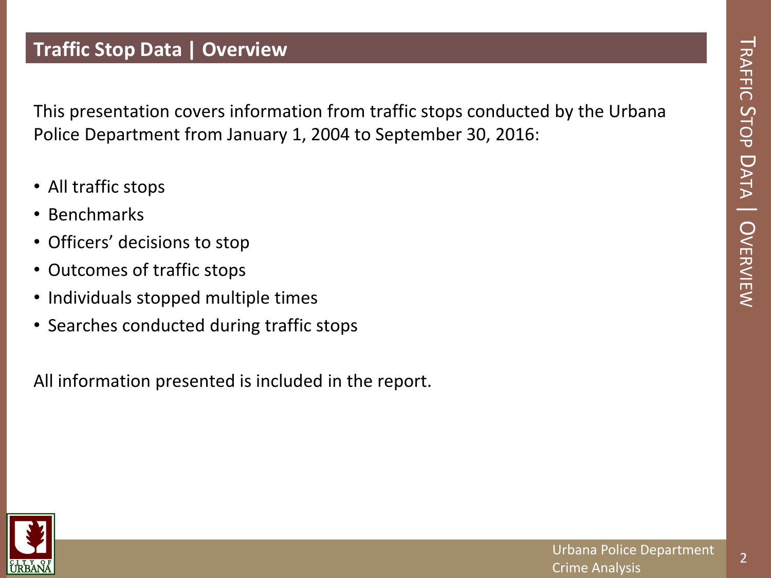2

#### **Traffic Stop Data | Overview**

This presentation covers information from traffic stops conducted by the Urbana Police Department from January 1, 2004 to September 30, 2016:

- All traffic stops
- Benchmarks
- Officers' decisions to stop
- Outcomes of traffic stops
- Individuals stopped multiple times
- Searches conducted during traffic stops

All information presented is included in the report.

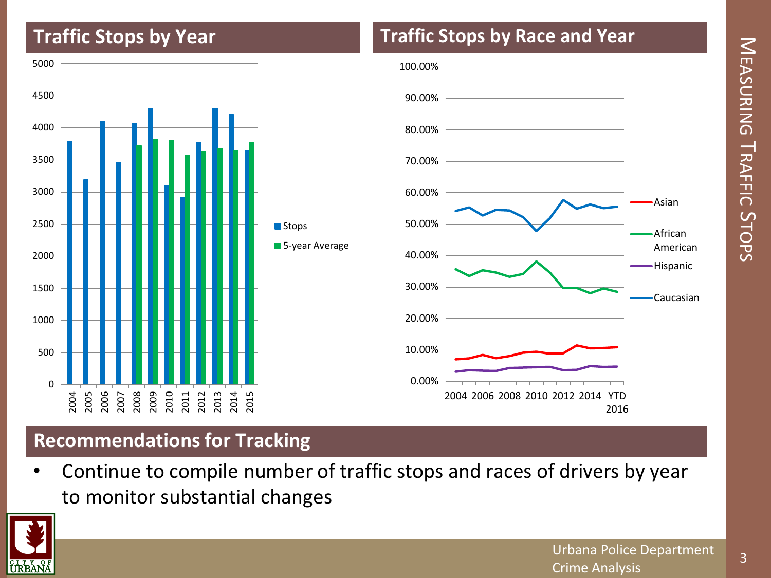### **Traffic Stops by Year**



#### **Traffic Stops by Race and Year**



#### **Recommendations for Tracking**

• Continue to compile number of traffic stops and races of drivers by year to monitor substantial changes

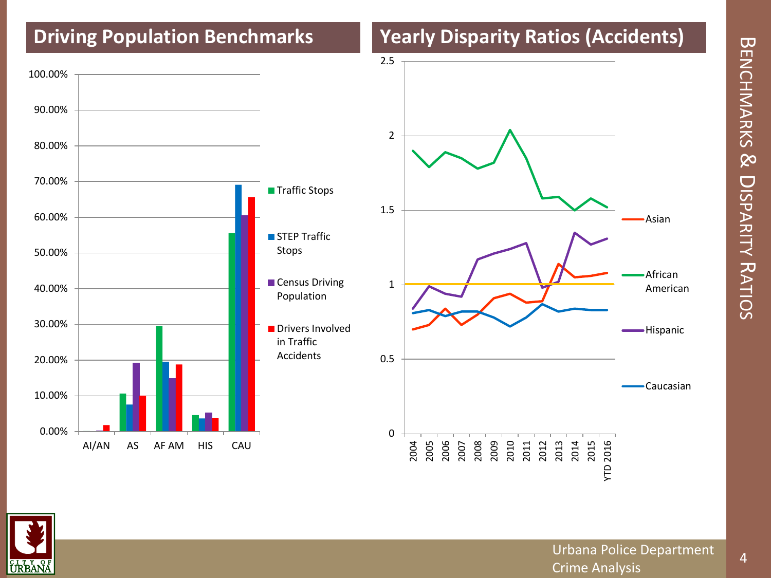# $\bf \overline{\bf \omega}$ ENCHMARKS م<br>D ISPARITY フロ ATIOS

## **Driving Population Benchmarks Yearly Disparity Ratios (Accidents)**





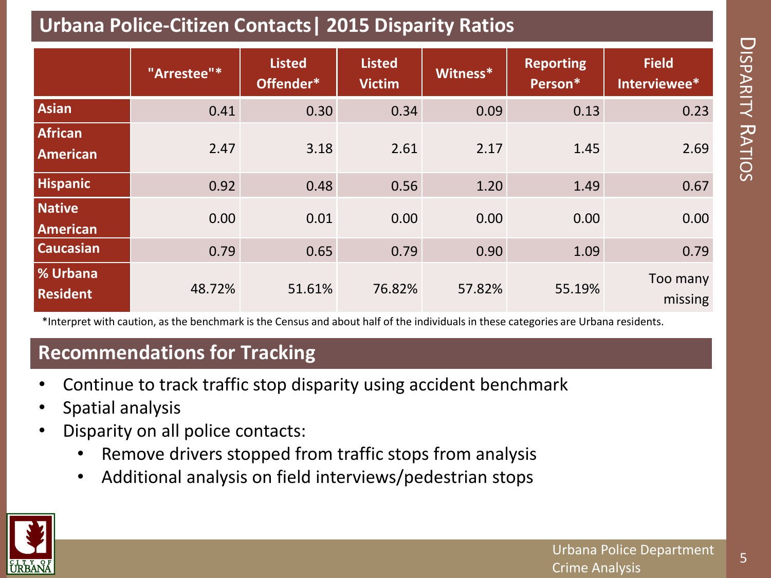### **Urbana Police-Citizen Contacts| 2015 Disparity Ratios**

|                                    | "Arrestee"* | <b>Listed</b><br>Offender* | <b>Listed</b><br><b>Victim</b> | Witness* | <b>Reporting</b><br>Person* | <b>Field</b><br>Interviewee* |
|------------------------------------|-------------|----------------------------|--------------------------------|----------|-----------------------------|------------------------------|
| Asian                              | 0.41        | 0.30                       | 0.34                           | 0.09     | 0.13                        | 0.23                         |
| <b>African</b><br><b>American</b>  | 2.47        | 3.18                       | 2.61                           | 2.17     | 1.45                        | 2.69                         |
| <b>Hispanic</b>                    | 0.92        | 0.48                       | 0.56                           | 1.20     | 1.49                        | 0.67                         |
| <b>Native</b><br><b>American</b>   | 0.00        | 0.01                       | 0.00                           | 0.00     | 0.00                        | 0.00                         |
| <b>Caucasian</b>                   | 0.79        | 0.65                       | 0.79                           | 0.90     | 1.09                        | 0.79                         |
| <b>% Urbana</b><br><b>Resident</b> | 48.72%      | 51.61%                     | 76.82%                         | 57.82%   | 55.19%                      | Too many<br>missing          |

\*Interpret with caution, as the benchmark is the Census and about half of the individuals in these categories are Urbana residents.

### **Recommendations for Tracking**

- Continue to track traffic stop disparity using accident benchmark
- Spatial analysis
- Disparity on all police contacts:
	- Remove drivers stopped from traffic stops from analysis
	- Additional analysis on field interviews/pedestrian stops



5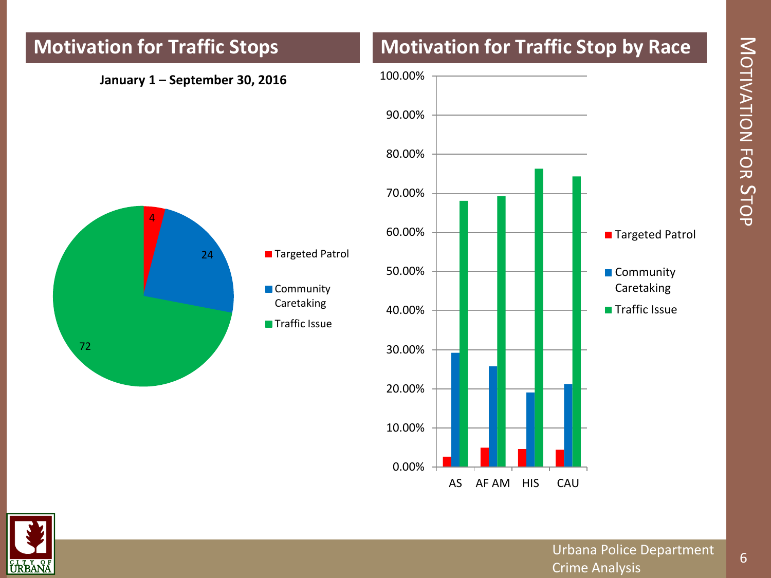#### **January 1 – September 30, 2016**







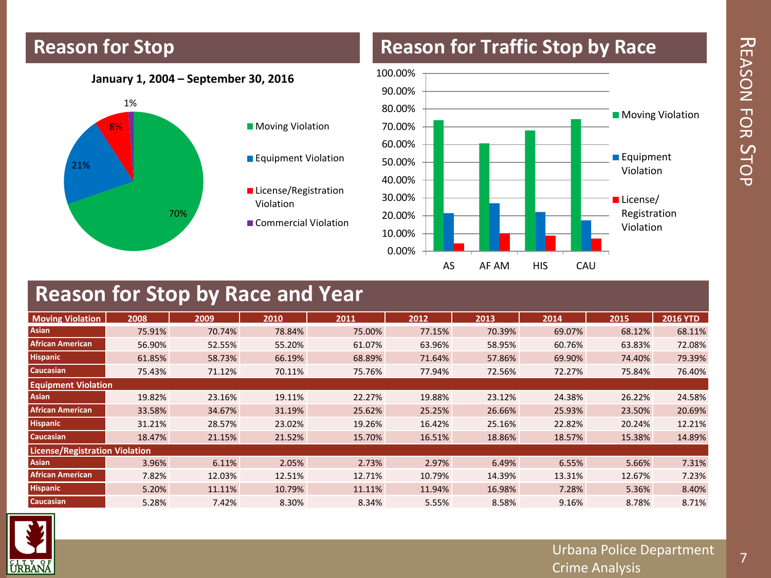# フロ EASON TC<br>ኢ  $\bm{\mathsf{C}}$ TOP

#### **Reason for Stop**

#### **Reason for Traffic Stop by Race**

#### **January 1, 2004 – September 30, 2016**



**Moving Violation** 

**Equipment Violation** 

**License/Registration** Violation

Commercial Violation



#### **Reason for Stop by Race and Year**

| <b>Moving Violation</b>               | 2008   | 2009   | 2010   | 2011   | 2012   | 2013   | 2014   | 2015   | <b>2016 YTD</b> |
|---------------------------------------|--------|--------|--------|--------|--------|--------|--------|--------|-----------------|
| Asian                                 | 75.91% | 70.74% | 78.84% | 75.00% | 77.15% | 70.39% | 69.07% | 68.12% | 68.11%          |
| <b>African American</b>               | 56.90% | 52.55% | 55.20% | 61.07% | 63.96% | 58.95% | 60.76% | 63.83% | 72.08%          |
| <b>Hispanic</b>                       | 61.85% | 58.73% | 66.19% | 68.89% | 71.64% | 57.86% | 69.90% | 74.40% | 79.39%          |
| <b>Caucasian</b>                      | 75.43% | 71.12% | 70.11% | 75.76% | 77.94% | 72.56% | 72.27% | 75.84% | 76.40%          |
| <b>Equipment Violation</b>            |        |        |        |        |        |        |        |        |                 |
| Asian                                 | 19.82% | 23.16% | 19.11% | 22.27% | 19.88% | 23.12% | 24.38% | 26.22% | 24.58%          |
| <b>African American</b>               | 33.58% | 34.67% | 31.19% | 25.62% | 25.25% | 26.66% | 25.93% | 23.50% | 20.69%          |
| <b>Hispanic</b>                       | 31.21% | 28.57% | 23.02% | 19.26% | 16.42% | 25.16% | 22.82% | 20.24% | 12.21%          |
| <b>Caucasian</b>                      | 18.47% | 21.15% | 21.52% | 15.70% | 16.51% | 18.86% | 18.57% | 15.38% | 14.89%          |
| <b>License/Registration Violation</b> |        |        |        |        |        |        |        |        |                 |
| Asian                                 | 3.96%  | 6.11%  | 2.05%  | 2.73%  | 2.97%  | 6.49%  | 6.55%  | 5.66%  | 7.31%           |
| <b>African American</b>               | 7.82%  | 12.03% | 12.51% | 12.71% | 10.79% | 14.39% | 13.31% | 12.67% | 7.23%           |
| <b>Hispanic</b>                       | 5.20%  | 11.11% | 10.79% | 11.11% | 11.94% | 16.98% | 7.28%  | 5.36%  | 8.40%           |
| Caucasian                             | 5.28%  | 7.42%  | 8.30%  | 8.34%  | 5.55%  | 8.58%  | 9.16%  | 8.78%  | 8.71%           |

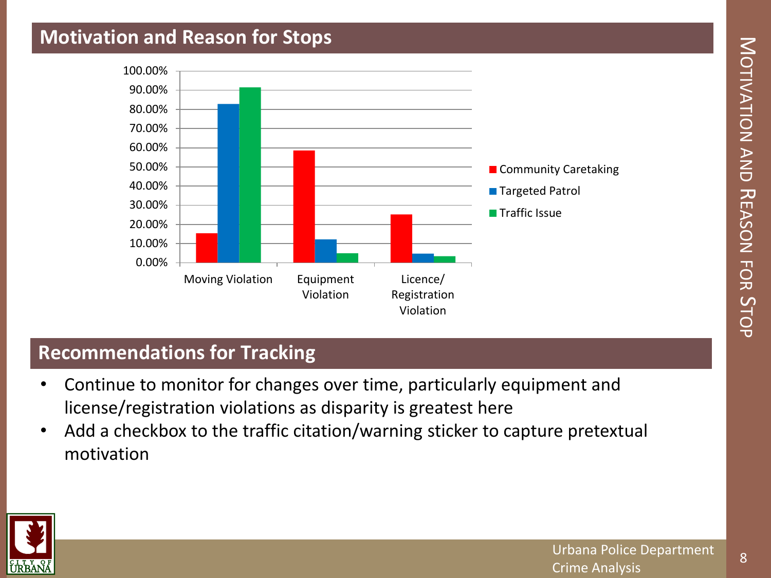#### **Motivation and Reason for Stops**



#### **Recommendations for Tracking**

- Continue to monitor for changes over time, particularly equipment and license/registration violations as disparity is greatest here
- Add a checkbox to the traffic citation/warning sticker to capture pretextual motivation

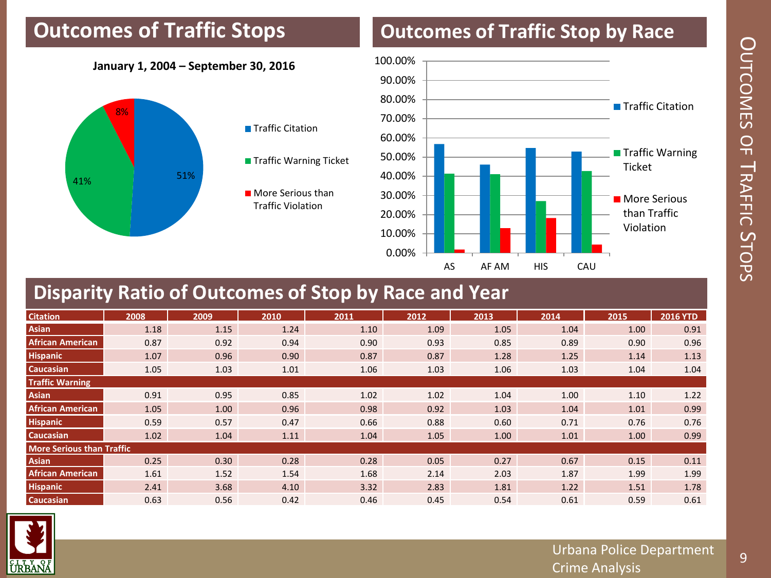### **Outcomes of Traffic Stops**

## **Outcomes of Traffic Stop by Race**

#### **January 1, 2004 – September 30, 2016**





**Traffic Warning Ticket** 

**More Serious than** Traffic Violation



#### **Disparity Ratio of Outcomes of Stop by Race and Year**

| <b>Citation</b>                  | 2008 | 2009 | 2010 | 2011 | 2012 | 2013 | 2014 | 2015 | <b>2016 YTD</b> |
|----------------------------------|------|------|------|------|------|------|------|------|-----------------|
| <b>Asian</b>                     | 1.18 | 1.15 | 1.24 | 1.10 | 1.09 | 1.05 | 1.04 | 1.00 | 0.91            |
| <b>African American</b>          | 0.87 | 0.92 | 0.94 | 0.90 | 0.93 | 0.85 | 0.89 | 0.90 | 0.96            |
| <b>Hispanic</b>                  | 1.07 | 0.96 | 0.90 | 0.87 | 0.87 | 1.28 | 1.25 | 1.14 | 1.13            |
| <b>Caucasian</b>                 | 1.05 | 1.03 | 1.01 | 1.06 | 1.03 | 1.06 | 1.03 | 1.04 | 1.04            |
| <b>Traffic Warning</b>           |      |      |      |      |      |      |      |      |                 |
| <b>Asian</b>                     | 0.91 | 0.95 | 0.85 | 1.02 | 1.02 | 1.04 | 1.00 | 1.10 | 1.22            |
| <b>African American</b>          | 1.05 | 1.00 | 0.96 | 0.98 | 0.92 | 1.03 | 1.04 | 1.01 | 0.99            |
| <b>Hispanic</b>                  | 0.59 | 0.57 | 0.47 | 0.66 | 0.88 | 0.60 | 0.71 | 0.76 | 0.76            |
| <b>Caucasian</b>                 | 1.02 | 1.04 | 1.11 | 1.04 | 1.05 | 1.00 | 1.01 | 1.00 | 0.99            |
| <b>More Serious than Traffic</b> |      |      |      |      |      |      |      |      |                 |
| <b>Asian</b>                     | 0.25 | 0.30 | 0.28 | 0.28 | 0.05 | 0.27 | 0.67 | 0.15 | 0.11            |
| <b>African American</b>          | 1.61 | 1.52 | 1.54 | 1.68 | 2.14 | 2.03 | 1.87 | 1.99 | 1.99            |
| <b>Hispanic</b>                  | 2.41 | 3.68 | 4.10 | 3.32 | 2.83 | 1.81 | 1.22 | 1.51 | 1.78            |
| <b>Caucasian</b>                 | 0.63 | 0.56 | 0.42 | 0.46 | 0.45 | 0.54 | 0.61 | 0.59 | 0.61            |

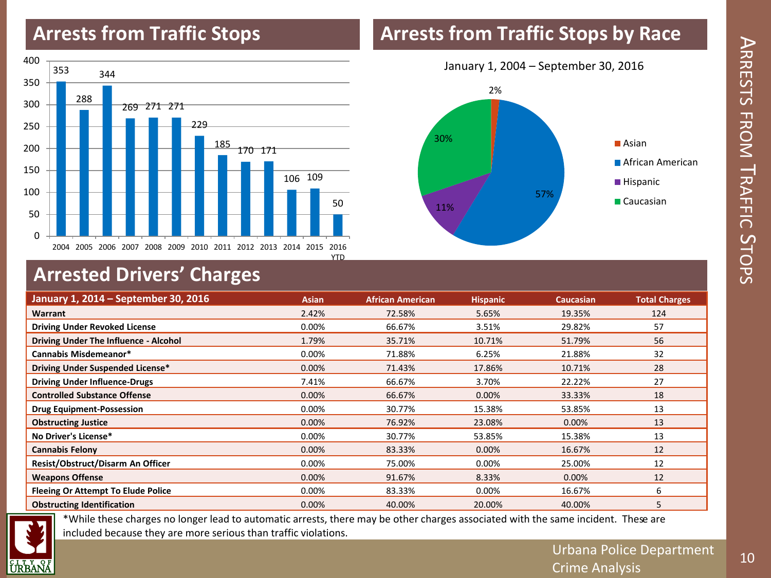#### **Arrests from Traffic Stops**

#### **Arrests from Traffic Stops by Race**





## **Arrested Drivers' Charges**

| January 1, 2014 - September 30, 2016      | <b>Asian</b> | <b>African American</b> | <b>Hispanic</b> | <b>Caucasian</b> | <b>Total Charges</b> |
|-------------------------------------------|--------------|-------------------------|-----------------|------------------|----------------------|
| Warrant                                   | 2.42%        | 72.58%                  | 5.65%           | 19.35%           | 124                  |
| <b>Driving Under Revoked License</b>      | $0.00\%$     | 66.67%                  | 3.51%           | 29.82%           | 57                   |
| Driving Under The Influence - Alcohol     | 1.79%        | 35.71%                  | 10.71%          | 51.79%           | 56                   |
| Cannabis Misdemeanor*                     | $0.00\%$     | 71.88%                  | 6.25%           | 21.88%           | 32                   |
| Driving Under Suspended License*          | 0.00%        | 71.43%                  | 17.86%          | 10.71%           | 28                   |
| <b>Driving Under Influence-Drugs</b>      | 7.41%        | 66.67%                  | 3.70%           | 22.22%           | 27                   |
| <b>Controlled Substance Offense</b>       | 0.00%        | 66.67%                  | 0.00%           | 33.33%           | 18                   |
| <b>Drug Equipment-Possession</b>          | 0.00%        | 30.77%                  | 15.38%          | 53.85%           | 13                   |
| <b>Obstructing Justice</b>                | 0.00%        | 76.92%                  | 23.08%          | 0.00%            | 13                   |
| No Driver's License*                      | 0.00%        | 30.77%                  | 53.85%          | 15.38%           | 13                   |
| <b>Cannabis Felony</b>                    | $0.00\%$     | 83.33%                  | $0.00\%$        | 16.67%           | 12                   |
| Resist/Obstruct/Disarm An Officer         | 0.00%        | 75.00%                  | 0.00%           | 25.00%           | 12                   |
| <b>Weapons Offense</b>                    | $0.00\%$     | 91.67%                  | 8.33%           | 0.00%            | 12                   |
| <b>Fleeing Or Attempt To Elude Police</b> | $0.00\%$     | 83.33%                  | 0.00%           | 16.67%           | 6                    |
| <b>Obstructing Identification</b>         | $0.00\%$     | 40.00%                  | 20.00%          | 40.00%           | 5                    |



\*While these charges no longer lead to automatic arrests, there may be other charges associated with the same incident. These are included because they are more serious than traffic violations.

 $\blacktriangleright$ 

RRESTS

FROM

 $\equiv$ 

RAFFIC

 $\bm{\mathsf{C}}$ 

10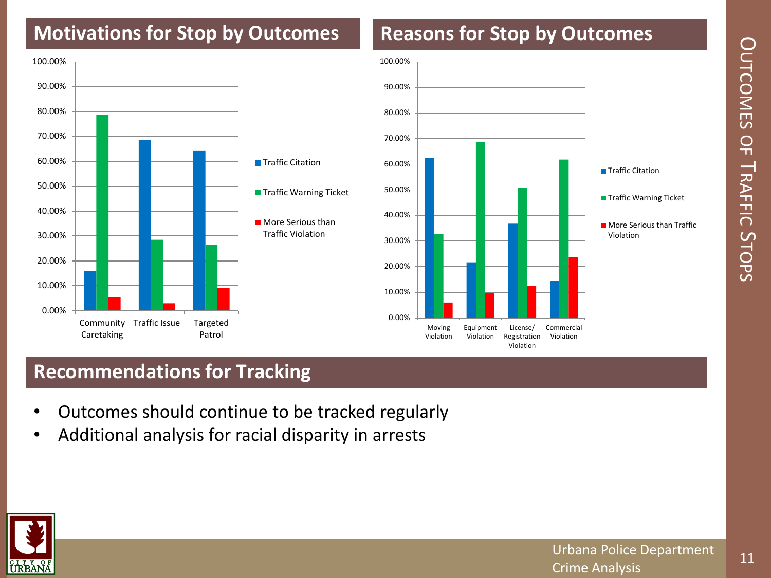# $\bigcirc$ UTCOMES  $\frac{\mathsf{O}}{\mathsf{H}}$ TRAFFIC ហ TOPS

## **Motivations for Stop by Outcomes**

#### 0.00% 10.00% 20.00% 30.00% 40.00% 50.00% 60.00% 70.00% 80.00% 90.00% 100.00% **Community** Caretaking Traffic Issue Targeted Patrol **■ Traffic Citation Traffic Warning Ticket More Serious than** Traffic Violation



**Reasons for Stop by Outcomes**

#### **Recommendations for Tracking**

- Outcomes should continue to be tracked regularly
- Additional analysis for racial disparity in arrests

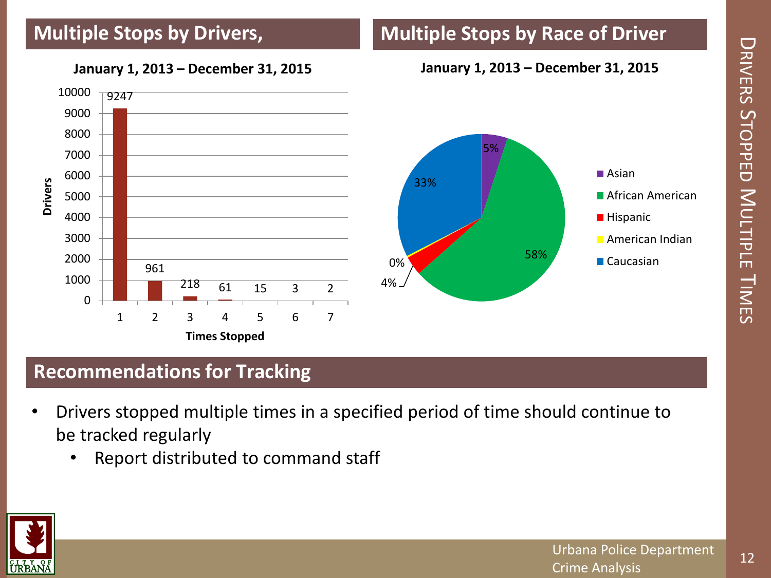

**Multiple Stops by Race of Driver**

#### **January 1, 2013 – December 31, 2015**

#### **Recommendations for Tracking**

- Drivers stopped multiple times in a specified period of time should continue to be tracked regularly
	- Report distributed to command staff



 $\bigcup$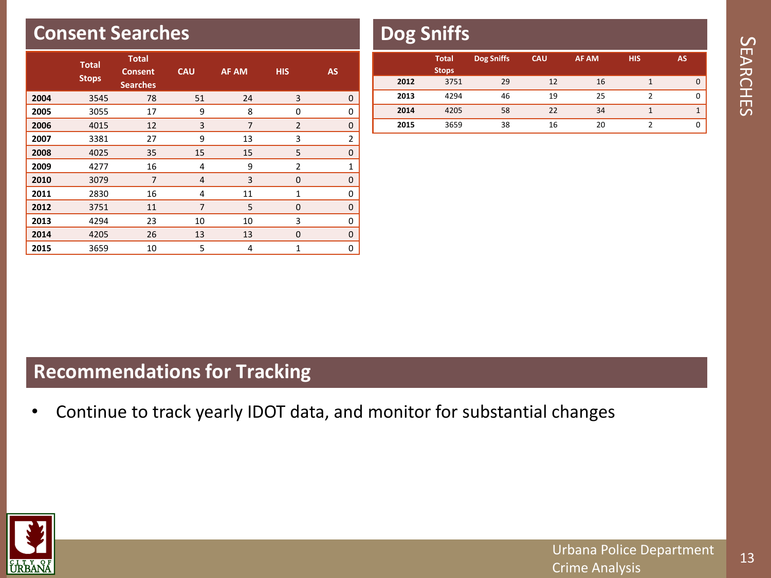#### **Consent Searches**

|      | <b>Total</b><br><b>Stops</b> | <b>Total</b><br><b>Consent</b><br><b>Searches</b> | <b>CAU</b>     | <b>AF AM</b>   | <b>HIS</b>     | <b>AS</b>      |
|------|------------------------------|---------------------------------------------------|----------------|----------------|----------------|----------------|
| 2004 | 3545                         | 78                                                | 51             | 24             | 3              | 0              |
| 2005 | 3055                         | 17                                                | 9              | 8              | 0              | 0              |
| 2006 | 4015                         | 12                                                | 3              | $\overline{7}$ | $\overline{2}$ | $\mathbf 0$    |
| 2007 | 3381                         | 27                                                | 9              | 13             | 3              | $\overline{2}$ |
| 2008 | 4025                         | 35                                                | 15             | 15             | 5              | $\overline{0}$ |
| 2009 | 4277                         | 16                                                | 4              | 9              | $\overline{2}$ | $\mathbf{1}$   |
| 2010 | 3079                         | 7                                                 | $\overline{4}$ | 3              | 0              | $\mathbf 0$    |
| 2011 | 2830                         | 16                                                | 4              | 11             | $\mathbf{1}$   | 0              |
| 2012 | 3751                         | 11                                                | $\overline{7}$ | 5              | $\mathbf 0$    | $\mathbf 0$    |
| 2013 | 4294                         | 23                                                | 10             | 10             | 3              | 0              |
| 2014 | 4205                         | 26                                                | 13             | 13             | 0              | 0              |
| 2015 | 3659                         | 10                                                | 5              | 4              | 1              | 0              |

## **Dog Sniffs**

|      | <b>Total</b><br><b>Stops</b> | <b>Dog Sniffs</b> | <b>CAU</b> | <b>AF AM</b> | <b>HIS</b> | AS |
|------|------------------------------|-------------------|------------|--------------|------------|----|
| 2012 | 3751                         | 29                | 12         | 16           |            |    |
| 2013 | 4294                         | 46                | 19         | 25           |            |    |
| 2014 | 4205                         | 58                | 22         | 34           |            |    |
| 2015 | 3659                         | 38                | 16         | 20           |            |    |

#### **Recommendations for Tracking**

• Continue to track yearly IDOT data, and monitor for substantial changes



13